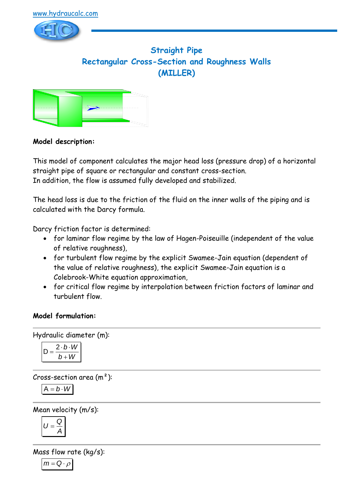

# **Straight Pipe Rectangular Cross-Section and Roughness Walls (MILLER)**



### **Model description:**

This model of component calculates the major head loss (pressure drop) of a horizontal straight pipe of square or rectangular and constant cross-section. In addition, the flow is assumed fully developed and stabilized.

The head loss is due to the friction of the fluid on the inner walls of the piping and is calculated with the Darcy formula.

Darcy friction factor is determined:

- for laminar flow regime by the law of Hagen-Poiseuille (independent of the value of relative roughness),
- for turbulent flow regime by the explicit Swamee-Jain equation (dependent of the value of relative roughness), the explicit Swamee-Jain equation is a Colebrook-White equation approximation,
- for critical flow regime by interpolation between friction factors of laminar and turbulent flow.

### **Model formulation:**

Hydraulic diameter (m):

$$
D = \frac{2 \cdot b \cdot W}{b + W}
$$

Cross-section area  $(m<sup>2</sup>)$ :

$$
A = b \cdot W
$$

Mean velocity (m/s):

$$
U=\frac{Q}{A}
$$

Mass flow rate (kg/s):

$$
m = Q \cdot \rho
$$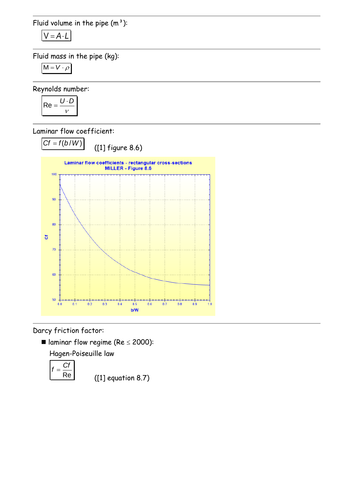Fluid volume in the pipe  $(m<sup>3</sup>)$ :

$$
V = A \cdot L
$$

Fluid mass in the pipe (kg):

$$
M = V \cdot \rho
$$

Reynolds number:

$$
Re = \frac{U \cdot D}{v}
$$

Laminar flow coefficient:



Darcy friction factor:

I laminar flow regime (Re  $\leq$  2000):

Hagen-Poiseuille law

$$
f=\frac{Cf}{Re}
$$

([1] equation 8.7)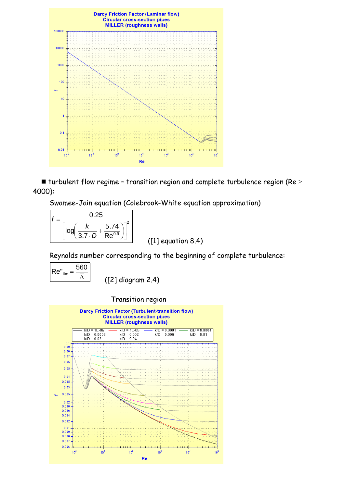

 $\blacksquare$  turbulent flow regime - transition region and complete turbulence region (Re  $\geq$ 4000):

Swamee-Jain equation (Colebrook-White equation approximation)

$$
f = \frac{0.25}{\left[\log\left(\frac{k}{3.7 \cdot D} + \frac{5.74}{Re^{0.9}}\right)\right]^2}
$$

([1] equation 8.4)

Reynolds number corresponding to the beginning of complete turbulence:

$$
Re''_{lim} = \frac{560}{\overline{\Delta}}
$$

([2] diagram 2.4)

Transition region

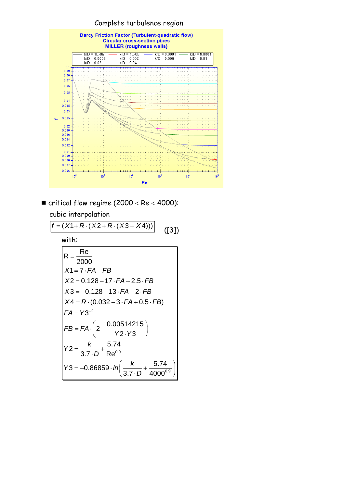

 $\blacksquare$  critical flow regime (2000 < Re < 4000): cubic interpolation

 $f = (X1 + R \cdot (X2 + R \cdot (X3 + X4)))$  ([3]) with:  $X4 = R \cdot ($ <br>*FA* = Y3<sup>-2</sup>  $Y2 = \frac{k}{3.7 \cdot D} + \frac{5.74}{Re^{0.9}}$  $3 = -0.86859 \cdot ln \left( \frac{k}{3.7 \cdot 0} + \frac{5.74}{4000^{0.9}} \right)$  $R = \frac{Re}{228}$ 2000  $x = 2000$ <br> $X = 7.FA - FB$ *X1* = 7 · *FA – FB*<br>*X2 =* 0.128 – 17 · *FA* + 2.5 · *FB X*2 = 0.128 – 17 · *FA* + 2.5 · *FB*<br>*X*3 = –0.128 + 13 · *FA* – 2 · *FB X*3 = -0.128 + 13 · *FA* - 2 · *FB*<br>*X*4 = *R* · (0.032 – 3 · *FA* + 0.5 · *FB*)  $2 - \frac{0.00514215}{Y2 \cdot Y3}$  $\frac{k}{3.7 \cdot D} + \frac{5.74}{4000}$ *FB FA Y Y*  $=\frac{k}{3.7 \cdot D} + \frac{5.74}{Re^{0.5}}$  $Y3 = -0.86859 \cdot ln\left(\frac{k}{3.7 \cdot D}\right)$  $= Y3^{-}$ = Y3<sup>-2</sup><br>= FA· $\left(2-\frac{0.00514215}{Y2\cdot Y3}\right)$ 3.7 · D Re<sup>0.9</sup><br>= -0.86859 · In  $\left(\frac{k}{3.7 \cdot D} + \frac{5.74}{4000^{0.9}}\right)$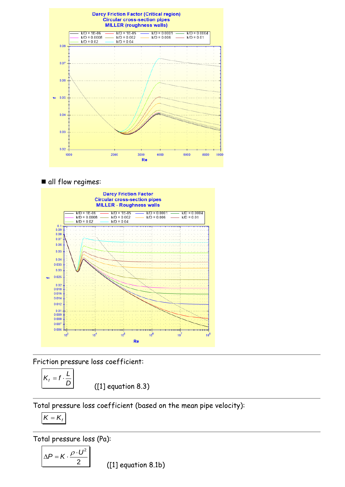

### all flow regimes:



Friction pressure loss coefficient:

$$
K_f = f \cdot \frac{L}{D}
$$

([1] equation 8.3)

Total pressure loss coefficient (based on the mean pipe velocity):

$$
K = K_{f}
$$

Total pressure loss (Pa):

$$
\Delta P = K \cdot \frac{\rho \cdot U^2}{2}
$$

([1] equation 8.1b)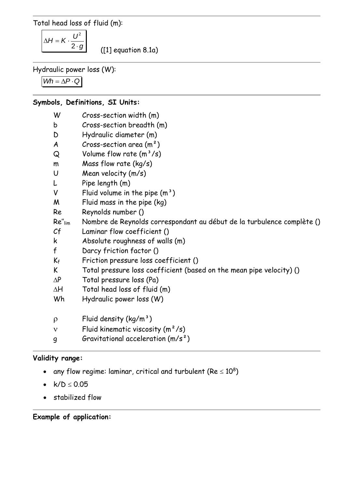Total head loss of fluid (m):

 $2 \cdot g$  $\Delta H = K \cdot \frac{U}{2}$ 2

([1] equation 8.1a)

Hydraulic power loss (W):

 $Wh = \Delta P \cdot Q$ 

## **Symbols, Definitions, SI Units:**

| W            | Cross-section width (m)                                                |
|--------------|------------------------------------------------------------------------|
| b            | Cross-section breadth (m)                                              |
| D            | Hydraulic diameter (m)                                                 |
| A            | Cross-section area $(m2)$                                              |
| Q            | Volume flow rate $(m^3/s)$                                             |
| m            | Mass flow rate (kg/s)                                                  |
| U            | Mean velocity (m/s)                                                    |
| L            | Pipe length (m)                                                        |
| V            | Fluid volume in the pipe $(m^3)$                                       |
| M            | Fluid mass in the pipe (kg)                                            |
| Re           | Reynolds number ()                                                     |
| $Re''$ lim   | Nombre de Reynolds correspondant au début de la turbulence complète () |
| Cf           | Laminar flow coefficient ()                                            |
| k            | Absolute roughness of walls (m)                                        |
| $\mathsf{f}$ | Darcy friction factor ()                                               |
| $K_f$        | Friction pressure loss coefficient ()                                  |
| K            | Total pressure loss coefficient (based on the mean pipe velocity) ()   |
| $\Delta P$   | Total pressure loss (Pa)                                               |
| $\Delta H$   | Total head loss of fluid (m)                                           |
| Wh           | Hydraulic power loss (W)                                               |
|              |                                                                        |
| $\rho$       | Fluid density $(kg/m^3)$                                               |
| $\mathbf{V}$ | Fluid kinematic viscosity $(m^2/s)$                                    |
| 9            | Gravitational acceleration $(m/s^2)$                                   |

### **Validity range:**

- any flow regime: laminar, critical and turbulent (Re  $\leq 10^8)$
- $k/D \le 0.05$
- stabilized flow

### **Example of application:**